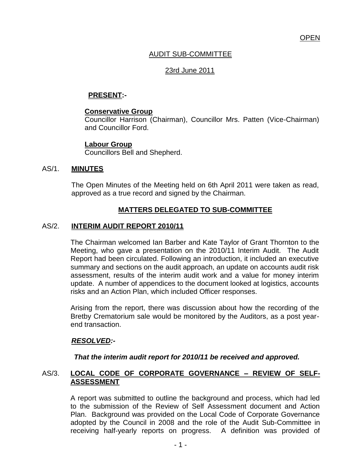# AUDIT SUB-COMMITTEE

### 23rd June 2011

## **PRESENT:-**

#### **Conservative Group**

Councillor Harrison (Chairman), Councillor Mrs. Patten (Vice-Chairman) and Councillor Ford.

## **Labour Group**

Councillors Bell and Shepherd.

#### AS/1. **MINUTES**

The Open Minutes of the Meeting held on 6th April 2011 were taken as read, approved as a true record and signed by the Chairman.

## **MATTERS DELEGATED TO SUB-COMMITTEE**

#### AS/2. **INTERIM AUDIT REPORT 2010/11**

The Chairman welcomed Ian Barber and Kate Taylor of Grant Thornton to the Meeting, who gave a presentation on the 2010/11 Interim Audit. The Audit Report had been circulated. Following an introduction, it included an executive summary and sections on the audit approach, an update on accounts audit risk assessment, results of the interim audit work and a value for money interim update. A number of appendices to the document looked at logistics, accounts risks and an Action Plan, which included Officer responses.

Arising from the report, there was discussion about how the recording of the Bretby Crematorium sale would be monitored by the Auditors, as a post yearend transaction.

#### *RESOLVED:-*

*That the interim audit report for 2010/11 be received and approved.*

#### AS/3. **LOCAL CODE OF CORPORATE GOVERNANCE – REVIEW OF SELF-ASSESSMENT**

A report was submitted to outline the background and process, which had led to the submission of the Review of Self Assessment document and Action Plan. Background was provided on the Local Code of Corporate Governance adopted by the Council in 2008 and the role of the Audit Sub-Committee in receiving half-yearly reports on progress. A definition was provided of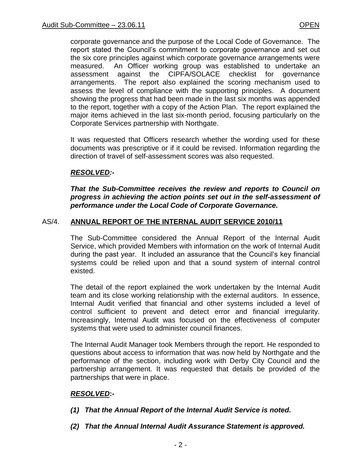corporate governance and the purpose of the Local Code of Governance. The report stated the Council's commitment to corporate governance and set out the six core principles against which corporate governance arrangements were measured. An Officer working group was established to undertake an assessment against the CIPFA/SOLACE checklist for governance arrangements. The report also explained the scoring mechanism used to assess the level of compliance with the supporting principles. A document showing the progress that had been made in the last six months was appended to the report, together with a copy of the Action Plan. The report explained the major items achieved in the last six-month period, focusing particularly on the Corporate Services partnership with Northgate.

It was requested that Officers research whether the wording used for these documents was prescriptive or if it could be revised. Information regarding the direction of travel of self-assessment scores was also requested.

## *RESOLVED:-*

*That the Sub-Committee receives the review and reports to Council on progress in achieving the action points set out in the self-assessment of performance under the Local Code of Corporate Governance.*

#### AS/4. **ANNUAL REPORT OF THE INTERNAL AUDIT SERVICE 2010/11**

The Sub-Committee considered the Annual Report of the Internal Audit Service, which provided Members with information on the work of Internal Audit during the past year. It included an assurance that the Council's key financial systems could be relied upon and that a sound system of internal control existed.

The detail of the report explained the work undertaken by the Internal Audit team and its close working relationship with the external auditors. In essence, Internal Audit verified that financial and other systems included a level of control sufficient to prevent and detect error and financial irregularity. Increasingly, Internal Audit was focused on the effectiveness of computer systems that were used to administer council finances.

The Internal Audit Manager took Members through the report. He responded to questions about access to information that was now held by Northgate and the performance of the section, including work with Derby City Council and the partnership arrangement. It was requested that details be provided of the partnerships that were in place.

#### *RESOLVED***:-**

- *(1) That the Annual Report of the Internal Audit Service is noted.*
- *(2) That the Annual Internal Audit Assurance Statement is approved.*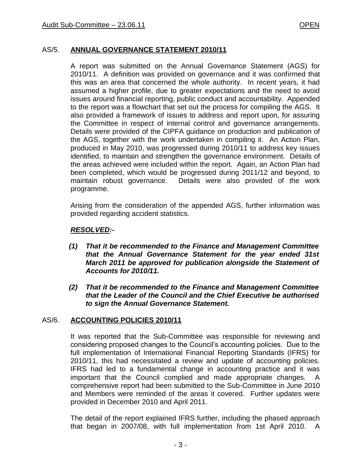### AS/5. **ANNUAL GOVERNANCE STATEMENT 2010/11**

A report was submitted on the Annual Governance Statement (AGS) for 2010/11. A definition was provided on governance and it was confirmed that this was an area that concerned the whole authority. In recent years, it had assumed a higher profile, due to greater expectations and the need to avoid issues around financial reporting, public conduct and accountability. Appended to the report was a flowchart that set out the process for compiling the AGS. It also provided a framework of issues to address and report upon, for assuring the Committee in respect of internal control and governance arrangements. Details were provided of the CIPFA guidance on production and publication of the AGS, together with the work undertaken in compiling it. An Action Plan, produced in May 2010, was progressed during 2010/11 to address key issues identified, to maintain and strengthen the governance environment. Details of the areas achieved were included within the report. Again, an Action Plan had been completed, which would be progressed during 2011/12 and beyond, to maintain robust governance. Details were also provided of the work programme.

Arising from the consideration of the appended AGS, further information was provided regarding accident statistics.

# *RESOLVED:-*

- *(1) That it be recommended to the Finance and Management Committee that the Annual Governance Statement for the year ended 31st March 2011 be approved for publication alongside the Statement of Accounts for 2010/11.*
- *(2) That it be recommended to the Finance and Management Committee that the Leader of the Council and the Chief Executive be authorised to sign the Annual Governance Statement.*

#### AS/6. **ACCOUNTING POLICIES 2010/11**

It was reported that the Sub-Committee was responsible for reviewing and considering proposed changes to the Council's accounting policies. Due to the full implementation of International Financial Reporting Standards (IFRS) for 2010/11, this had necessitated a review and update of accounting policies. IFRS had led to a fundamental change in accounting practice and it was important that the Council complied and made appropriate changes. comprehensive report had been submitted to the Sub-Committee in June 2010 and Members were reminded of the areas it covered. Further updates were provided in December 2010 and April 2011.

The detail of the report explained IFRS further, including the phased approach that began in 2007/08, with full implementation from 1st April 2010. A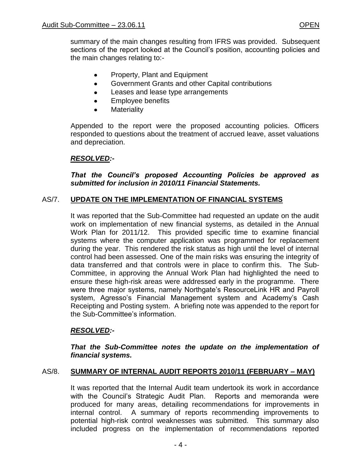- Property, Plant and Equipment  $\bullet$
- Government Grants and other Capital contributions  $\bullet$
- Leases and lease type arrangements  $\bullet$
- Employee benefits  $\bullet$
- **Materiality**  $\bullet$

Appended to the report were the proposed accounting policies. Officers responded to questions about the treatment of accrued leave, asset valuations and depreciation.

# *RESOLVED:-*

*That the Council's proposed Accounting Policies be approved as submitted for inclusion in 2010/11 Financial Statements.*

# AS/7. **UPDATE ON THE IMPLEMENTATION OF FINANCIAL SYSTEMS**

It was reported that the Sub-Committee had requested an update on the audit work on implementation of new financial systems, as detailed in the Annual Work Plan for 2011/12. This provided specific time to examine financial systems where the computer application was programmed for replacement during the year. This rendered the risk status as high until the level of internal control had been assessed. One of the main risks was ensuring the integrity of data transferred and that controls were in place to confirm this. The Sub-Committee, in approving the Annual Work Plan had highlighted the need to ensure these high-risk areas were addressed early in the programme. There were three major systems, namely Northgate's ResourceLink HR and Payroll system, Agresso's Financial Management system and Academy's Cash Receipting and Posting system. A briefing note was appended to the report for the Sub-Committee's information.

# *RESOLVED:-*

*That the Sub-Committee notes the update on the implementation of financial systems.*

#### AS/8. **SUMMARY OF INTERNAL AUDIT REPORTS 2010/11 (FEBRUARY – MAY)**

It was reported that the Internal Audit team undertook its work in accordance with the Council's Strategic Audit Plan. Reports and memoranda were produced for many areas, detailing recommendations for improvements in internal control. A summary of reports recommending improvements to potential high-risk control weaknesses was submitted. This summary also included progress on the implementation of recommendations reported